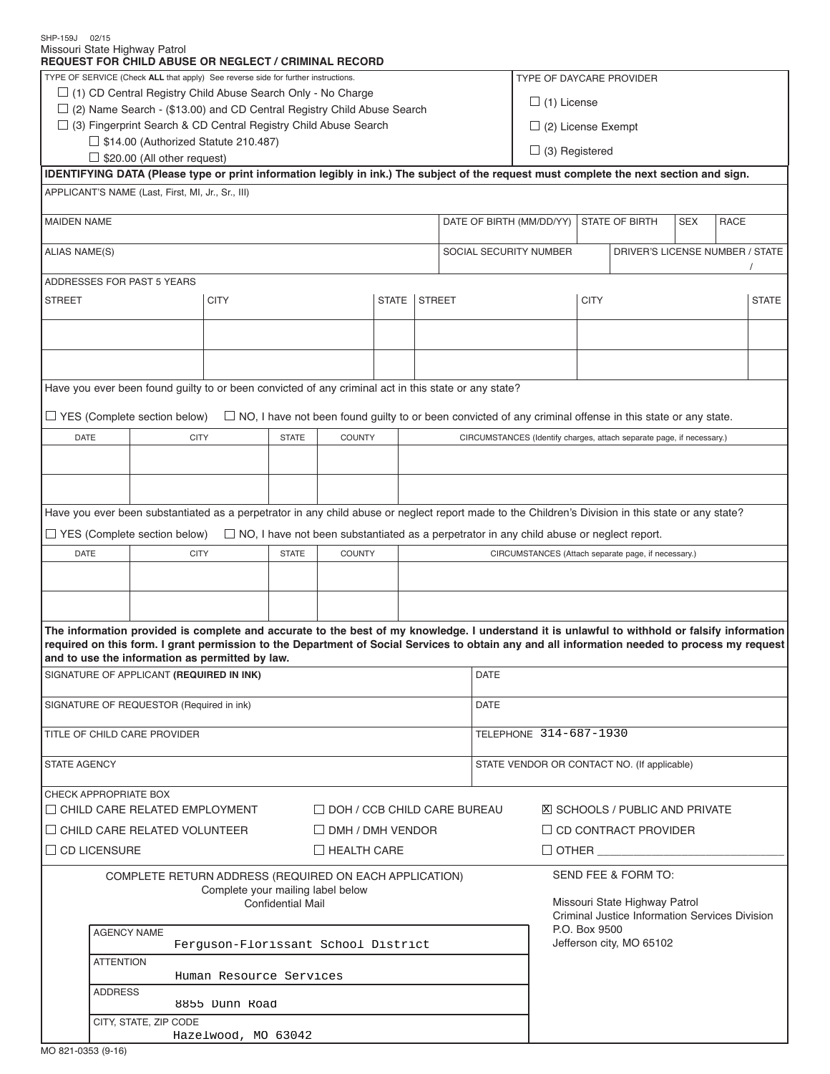| SHP-159J 02/15                                                                    |                                                                                                                                                         | Missouri State Highway Patrol                                                                                                                      |                                                                                                                                         |                          |                                                                                                 |  |               |                                                     |                                                                                |                           |                       |                                                                       |  |              |  |  |
|-----------------------------------------------------------------------------------|---------------------------------------------------------------------------------------------------------------------------------------------------------|----------------------------------------------------------------------------------------------------------------------------------------------------|-----------------------------------------------------------------------------------------------------------------------------------------|--------------------------|-------------------------------------------------------------------------------------------------|--|---------------|-----------------------------------------------------|--------------------------------------------------------------------------------|---------------------------|-----------------------|-----------------------------------------------------------------------|--|--------------|--|--|
|                                                                                   |                                                                                                                                                         | <b>REQUEST FOR CHILD ABUSE OR NEGLECT / CRIMINAL RECORD</b>                                                                                        |                                                                                                                                         |                          |                                                                                                 |  |               |                                                     |                                                                                |                           |                       |                                                                       |  |              |  |  |
| TYPE OF SERVICE (Check ALL that apply) See reverse side for further instructions. |                                                                                                                                                         |                                                                                                                                                    |                                                                                                                                         |                          |                                                                                                 |  |               |                                                     |                                                                                |                           |                       | TYPE OF DAYCARE PROVIDER                                              |  |              |  |  |
| $\Box$ (1) CD Central Registry Child Abuse Search Only - No Charge                |                                                                                                                                                         |                                                                                                                                                    |                                                                                                                                         |                          |                                                                                                 |  |               |                                                     |                                                                                | $\Box$ (1) License        |                       |                                                                       |  |              |  |  |
| $\Box$ (2) Name Search - (\$13.00) and CD Central Registry Child Abuse Search     |                                                                                                                                                         |                                                                                                                                                    |                                                                                                                                         |                          |                                                                                                 |  |               |                                                     |                                                                                |                           |                       |                                                                       |  |              |  |  |
| $\Box$ (3) Fingerprint Search & CD Central Registry Child Abuse Search            |                                                                                                                                                         |                                                                                                                                                    |                                                                                                                                         |                          |                                                                                                 |  |               |                                                     |                                                                                | $\Box$ (2) License Exempt |                       |                                                                       |  |              |  |  |
| $\Box$ \$14.00 (Authorized Statute 210.487)                                       |                                                                                                                                                         |                                                                                                                                                    |                                                                                                                                         |                          |                                                                                                 |  |               |                                                     |                                                                                |                           | $\Box$ (3) Registered |                                                                       |  |              |  |  |
|                                                                                   |                                                                                                                                                         | $\Box$ \$20.00 (All other request)                                                                                                                 | IDENTIFYING DATA (Please type or print information legibly in ink.) The subject of the request must complete the next section and sign. |                          |                                                                                                 |  |               |                                                     |                                                                                |                           |                       |                                                                       |  |              |  |  |
|                                                                                   |                                                                                                                                                         | APPLICANT'S NAME (Last, First, MI, Jr., Sr., III)                                                                                                  |                                                                                                                                         |                          |                                                                                                 |  |               |                                                     |                                                                                |                           |                       |                                                                       |  |              |  |  |
|                                                                                   |                                                                                                                                                         |                                                                                                                                                    |                                                                                                                                         |                          |                                                                                                 |  |               |                                                     |                                                                                |                           |                       |                                                                       |  |              |  |  |
| <b>MAIDEN NAME</b>                                                                |                                                                                                                                                         |                                                                                                                                                    |                                                                                                                                         |                          |                                                                                                 |  |               |                                                     | DATE OF BIRTH (MM/DD/YY)<br><b>SEX</b><br><b>RACE</b><br><b>STATE OF BIRTH</b> |                           |                       |                                                                       |  |              |  |  |
| ALIAS NAME(S)                                                                     |                                                                                                                                                         |                                                                                                                                                    |                                                                                                                                         |                          |                                                                                                 |  |               |                                                     | SOCIAL SECURITY NUMBER<br>DRIVER'S LICENSE NUMBER / STATE                      |                           |                       |                                                                       |  |              |  |  |
|                                                                                   |                                                                                                                                                         | ADDRESSES FOR PAST 5 YEARS                                                                                                                         |                                                                                                                                         |                          |                                                                                                 |  |               |                                                     |                                                                                |                           |                       |                                                                       |  |              |  |  |
| <b>STREET</b>                                                                     |                                                                                                                                                         |                                                                                                                                                    | <b>CITY</b>                                                                                                                             |                          | <b>STATE</b>                                                                                    |  | <b>STREET</b> |                                                     |                                                                                | <b>CITY</b>               |                       |                                                                       |  | <b>STATE</b> |  |  |
|                                                                                   |                                                                                                                                                         |                                                                                                                                                    |                                                                                                                                         |                          |                                                                                                 |  |               |                                                     |                                                                                |                           |                       |                                                                       |  |              |  |  |
|                                                                                   |                                                                                                                                                         |                                                                                                                                                    |                                                                                                                                         |                          |                                                                                                 |  |               |                                                     |                                                                                |                           |                       |                                                                       |  |              |  |  |
|                                                                                   |                                                                                                                                                         |                                                                                                                                                    |                                                                                                                                         |                          |                                                                                                 |  |               |                                                     |                                                                                |                           |                       |                                                                       |  |              |  |  |
|                                                                                   |                                                                                                                                                         |                                                                                                                                                    |                                                                                                                                         |                          |                                                                                                 |  |               |                                                     |                                                                                |                           |                       |                                                                       |  |              |  |  |
|                                                                                   |                                                                                                                                                         | Have you ever been found guilty to or been convicted of any criminal act in this state or any state?                                               |                                                                                                                                         |                          |                                                                                                 |  |               |                                                     |                                                                                |                           |                       |                                                                       |  |              |  |  |
|                                                                                   |                                                                                                                                                         |                                                                                                                                                    |                                                                                                                                         |                          |                                                                                                 |  |               |                                                     |                                                                                |                           |                       |                                                                       |  |              |  |  |
|                                                                                   | $\Box$ YES (Complete section below)<br>$\Box$ NO, I have not been found quilty to or been convicted of any criminal offense in this state or any state. |                                                                                                                                                    |                                                                                                                                         |                          |                                                                                                 |  |               |                                                     |                                                                                |                           |                       |                                                                       |  |              |  |  |
| <b>DATE</b>                                                                       |                                                                                                                                                         | <b>CITY</b>                                                                                                                                        |                                                                                                                                         | <b>STATE</b>             | <b>COUNTY</b>                                                                                   |  |               |                                                     |                                                                                |                           |                       | CIRCUMSTANCES (Identify charges, attach separate page, if necessary.) |  |              |  |  |
|                                                                                   |                                                                                                                                                         |                                                                                                                                                    |                                                                                                                                         |                          |                                                                                                 |  |               |                                                     |                                                                                |                           |                       |                                                                       |  |              |  |  |
|                                                                                   |                                                                                                                                                         |                                                                                                                                                    |                                                                                                                                         |                          |                                                                                                 |  |               |                                                     |                                                                                |                           |                       |                                                                       |  |              |  |  |
|                                                                                   |                                                                                                                                                         |                                                                                                                                                    |                                                                                                                                         |                          |                                                                                                 |  |               |                                                     |                                                                                |                           |                       |                                                                       |  |              |  |  |
|                                                                                   |                                                                                                                                                         | Have you ever been substantiated as a perpetrator in any child abuse or neglect report made to the Children's Division in this state or any state? |                                                                                                                                         |                          |                                                                                                 |  |               |                                                     |                                                                                |                           |                       |                                                                       |  |              |  |  |
|                                                                                   |                                                                                                                                                         | $\Box$ YES (Complete section below)                                                                                                                |                                                                                                                                         |                          | $\Box$ NO, I have not been substantiated as a perpetrator in any child abuse or neglect report. |  |               |                                                     |                                                                                |                           |                       |                                                                       |  |              |  |  |
| <b>DATE</b>                                                                       |                                                                                                                                                         | <b>CITY</b>                                                                                                                                        |                                                                                                                                         | <b>STATE</b>             | <b>COUNTY</b>                                                                                   |  |               | CIRCUMSTANCES (Attach separate page, if necessary.) |                                                                                |                           |                       |                                                                       |  |              |  |  |
|                                                                                   |                                                                                                                                                         |                                                                                                                                                    |                                                                                                                                         |                          |                                                                                                 |  |               |                                                     |                                                                                |                           |                       |                                                                       |  |              |  |  |
|                                                                                   |                                                                                                                                                         |                                                                                                                                                    |                                                                                                                                         |                          |                                                                                                 |  |               |                                                     |                                                                                |                           |                       |                                                                       |  |              |  |  |
|                                                                                   |                                                                                                                                                         |                                                                                                                                                    |                                                                                                                                         |                          |                                                                                                 |  |               |                                                     |                                                                                |                           |                       |                                                                       |  |              |  |  |
|                                                                                   |                                                                                                                                                         | The information provided is complete and accurate to the best of my knowledge. I understand it is unlawful to withhold or falsify information      |                                                                                                                                         |                          |                                                                                                 |  |               |                                                     |                                                                                |                           |                       |                                                                       |  |              |  |  |
|                                                                                   |                                                                                                                                                         | required on this form. I grant permission to the Department of Social Services to obtain any and all information needed to process my request      |                                                                                                                                         |                          |                                                                                                 |  |               |                                                     |                                                                                |                           |                       |                                                                       |  |              |  |  |
|                                                                                   |                                                                                                                                                         | and to use the information as permitted by law.                                                                                                    |                                                                                                                                         |                          |                                                                                                 |  |               |                                                     |                                                                                |                           |                       |                                                                       |  |              |  |  |
|                                                                                   |                                                                                                                                                         | SIGNATURE OF APPLICANT (REQUIRED IN INK)                                                                                                           |                                                                                                                                         |                          |                                                                                                 |  |               |                                                     | <b>DATE</b>                                                                    |                           |                       |                                                                       |  |              |  |  |
|                                                                                   |                                                                                                                                                         | SIGNATURE OF REQUESTOR (Required in ink)                                                                                                           |                                                                                                                                         |                          |                                                                                                 |  |               |                                                     |                                                                                |                           |                       |                                                                       |  |              |  |  |
|                                                                                   |                                                                                                                                                         |                                                                                                                                                    |                                                                                                                                         |                          |                                                                                                 |  |               |                                                     | <b>DATE</b>                                                                    |                           |                       |                                                                       |  |              |  |  |
|                                                                                   | TITLE OF CHILD CARE PROVIDER                                                                                                                            |                                                                                                                                                    |                                                                                                                                         |                          |                                                                                                 |  |               |                                                     |                                                                                | TELEPHONE 314-687-1930    |                       |                                                                       |  |              |  |  |
|                                                                                   |                                                                                                                                                         |                                                                                                                                                    |                                                                                                                                         |                          |                                                                                                 |  |               |                                                     |                                                                                |                           |                       |                                                                       |  |              |  |  |
| <b>STATE AGENCY</b>                                                               |                                                                                                                                                         |                                                                                                                                                    |                                                                                                                                         |                          |                                                                                                 |  |               |                                                     | STATE VENDOR OR CONTACT NO. (If applicable)                                    |                           |                       |                                                                       |  |              |  |  |
| CHECK APPROPRIATE BOX                                                             |                                                                                                                                                         |                                                                                                                                                    |                                                                                                                                         |                          |                                                                                                 |  |               |                                                     |                                                                                |                           |                       |                                                                       |  |              |  |  |
|                                                                                   |                                                                                                                                                         | $\Box$ CHILD CARE RELATED EMPLOYMENT                                                                                                               |                                                                                                                                         |                          | $\Box$ DOH / CCB CHILD CARE BUREAU                                                              |  |               |                                                     |                                                                                |                           |                       | <b>X SCHOOLS / PUBLIC AND PRIVATE</b>                                 |  |              |  |  |
| $\Box$ CHILD CARE RELATED VOLUNTEER<br>$\Box$ DMH / DMH VENDOR                    |                                                                                                                                                         |                                                                                                                                                    |                                                                                                                                         |                          |                                                                                                 |  |               |                                                     |                                                                                |                           |                       | $\Box$ CD CONTRACT PROVIDER                                           |  |              |  |  |
| $\Box$ CD LICENSURE<br>$\Box$ HEALTH CARE                                         |                                                                                                                                                         |                                                                                                                                                    |                                                                                                                                         |                          |                                                                                                 |  |               |                                                     | $\Box$ OTHER                                                                   |                           |                       |                                                                       |  |              |  |  |
|                                                                                   |                                                                                                                                                         |                                                                                                                                                    |                                                                                                                                         |                          |                                                                                                 |  |               |                                                     |                                                                                |                           |                       |                                                                       |  |              |  |  |
|                                                                                   |                                                                                                                                                         | COMPLETE RETURN ADDRESS (REQUIRED ON EACH APPLICATION)                                                                                             |                                                                                                                                         |                          |                                                                                                 |  |               |                                                     |                                                                                |                           |                       | SEND FEE & FORM TO:                                                   |  |              |  |  |
|                                                                                   |                                                                                                                                                         |                                                                                                                                                    | Complete your mailing label below                                                                                                       | <b>Confidential Mail</b> |                                                                                                 |  |               |                                                     |                                                                                |                           |                       | Missouri State Highway Patrol                                         |  |              |  |  |
|                                                                                   |                                                                                                                                                         |                                                                                                                                                    |                                                                                                                                         |                          |                                                                                                 |  |               |                                                     |                                                                                |                           |                       | Criminal Justice Information Services Division                        |  |              |  |  |
|                                                                                   | <b>AGENCY NAME</b>                                                                                                                                      |                                                                                                                                                    |                                                                                                                                         |                          |                                                                                                 |  |               |                                                     |                                                                                |                           | P.O. Box 9500         |                                                                       |  |              |  |  |
|                                                                                   | Ferguson-Florissant School District                                                                                                                     |                                                                                                                                                    |                                                                                                                                         |                          |                                                                                                 |  |               |                                                     |                                                                                |                           |                       | Jefferson city, MO 65102                                              |  |              |  |  |
|                                                                                   | <b>ATTENTION</b><br>Human Resource Services                                                                                                             |                                                                                                                                                    |                                                                                                                                         |                          |                                                                                                 |  |               |                                                     |                                                                                |                           |                       |                                                                       |  |              |  |  |
|                                                                                   | <b>ADDRESS</b>                                                                                                                                          |                                                                                                                                                    |                                                                                                                                         |                          |                                                                                                 |  |               |                                                     |                                                                                |                           |                       |                                                                       |  |              |  |  |
|                                                                                   | 8855 Dunn Road                                                                                                                                          |                                                                                                                                                    |                                                                                                                                         |                          |                                                                                                 |  |               |                                                     |                                                                                |                           |                       |                                                                       |  |              |  |  |
|                                                                                   | CITY, STATE, ZIP CODE                                                                                                                                   |                                                                                                                                                    |                                                                                                                                         |                          |                                                                                                 |  |               |                                                     |                                                                                |                           |                       |                                                                       |  |              |  |  |
|                                                                                   | Hazelwood, MO 63042                                                                                                                                     |                                                                                                                                                    |                                                                                                                                         |                          |                                                                                                 |  |               |                                                     |                                                                                |                           |                       |                                                                       |  |              |  |  |